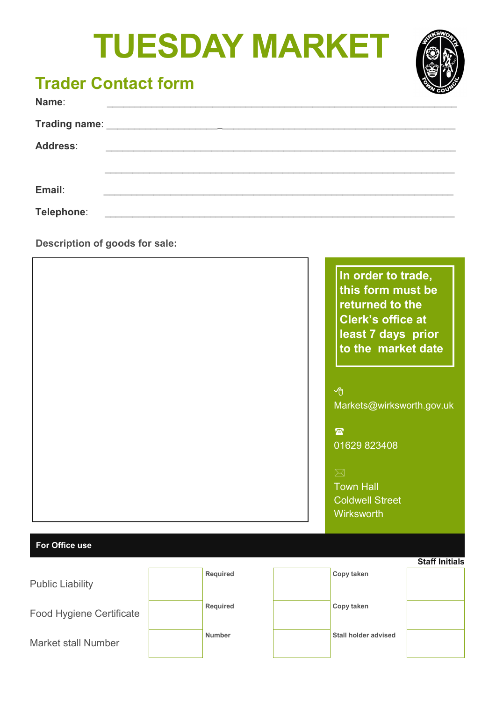# **TUESDAY MARKET**



### **Trader Contact form**

| Name:           |                                                         |  |  |
|-----------------|---------------------------------------------------------|--|--|
|                 |                                                         |  |  |
| <b>Address:</b> | <u> 2000 - Johann Stone, primar matematik (h. 1952)</u> |  |  |
|                 |                                                         |  |  |
| Email:          |                                                         |  |  |
| Telephone:      |                                                         |  |  |

**Description of goods for sale:** 

|                         |          | In order to trade,<br>this form must be<br>returned to the<br><b>Clerk's office at</b><br>least 7 days prior<br>to the market date<br>哈<br>Markets@wirksworth.gov.uk<br>$\mathbf{E}$<br>01629 823408<br>$\boxtimes$<br><b>Town Hall</b><br><b>Coldwell Street</b><br>Wirksworth |                       |
|-------------------------|----------|---------------------------------------------------------------------------------------------------------------------------------------------------------------------------------------------------------------------------------------------------------------------------------|-----------------------|
| For Office use          |          |                                                                                                                                                                                                                                                                                 |                       |
| <b>Public Liability</b> | Required | Copy taken                                                                                                                                                                                                                                                                      | <b>Staff Initials</b> |

| I UNIIV LIUNIIILY          |               |                      |  |
|----------------------------|---------------|----------------------|--|
| Food Hygiene Certificate   | Required      | Copy taken           |  |
| <b>Market stall Number</b> | <b>Number</b> | Stall holder advised |  |